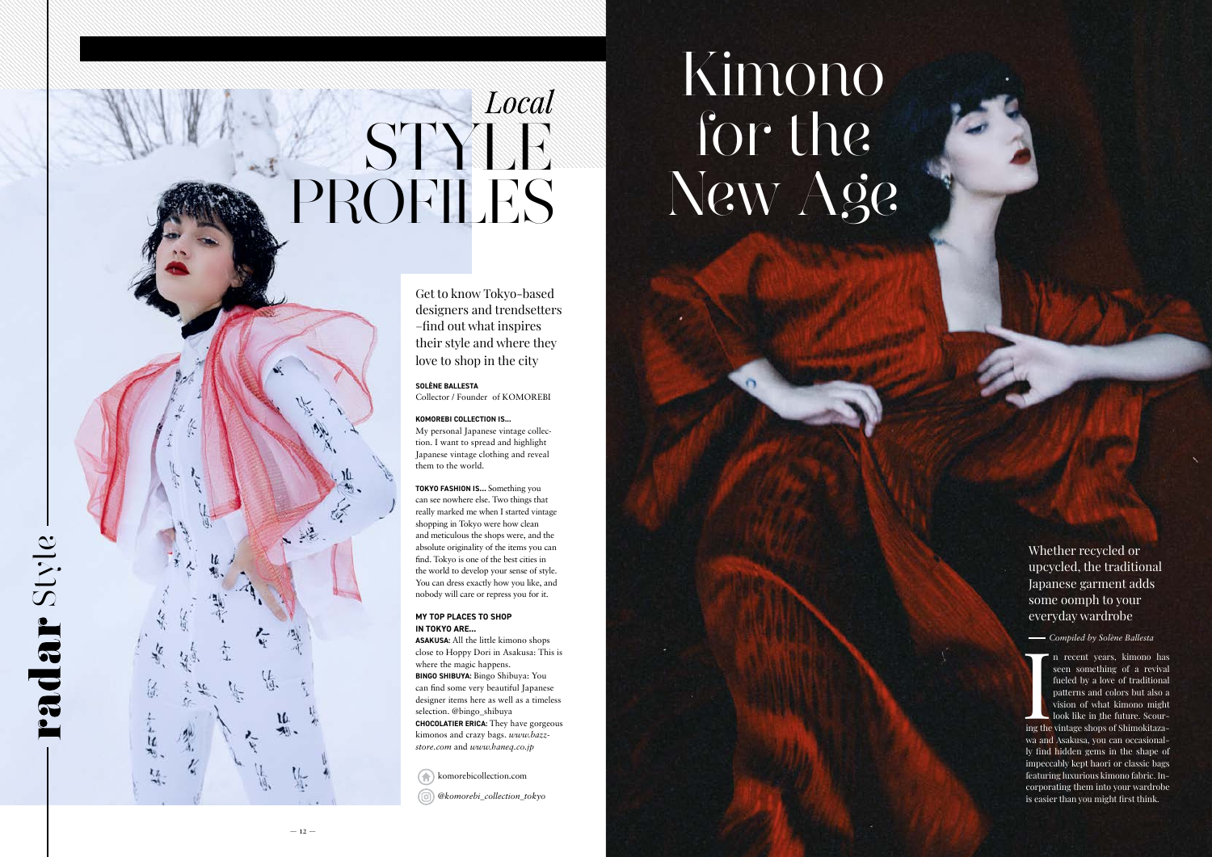Get to know Tokyo-based designers and trendsetters –find out what inspires their style and where they love to shop in the city

### **SOLÈNE BALLESTA**

Collector / Founder of KOMOREBI

## **KOMOREBI COLLECTION IS...**

My personal Japanese vintage collec tion. I want to spread and highlight Japanese vintage clothing and reveal them to the world.

**TOKYO FASHION IS…** Something you can see nowhere else. Two things that really marked me when I started vintage shopping in Tokyo were how clean and meticulous the shops were, and the absolute originality of the items you can find. Tokyo is one of the best cities in the world to develop your sense of style. You can dress exactly how you like, and nobody will care or repress you for it.

komorebicollection.com *@komorebi\_collection\_tokyo*

## **MY TOP PLACES TO SHOP IN TOKYO ARE...**

In recent years, kimono has<br>seen something of a revival<br>fueled by a love of traditional<br>patterns and colors but also a<br>vision of what kimono might<br>look like in the future. Scour-<br>ing the vintage shops of Shimokitazan recent years, kimono has seen something of a revival fueled by a love of traditional patterns and colors but also a vision of what kimono might look like in the future. Scour -

**ASAKUSA:** All the little kimono shops close to Hoppy Dori in Asakusa: This is where the magic happens. **BINGO SHIBUYA:** Bingo Shibuya: You can find some very beautiful Japanese designer items here as well as a timeless selection. @bingo\_shibuya **CHOCOLATIER ERICA:** They have gorgeous kimonos and crazy bags. *www.bazz store.com* and *www.haneq.co.jp*

# STYLE PROFILES

Whether recycled or upcycled, the traditional Japanese garment adds some oomph to your everyday wardrobe

## Kimono for the New Age

Padar Style

 $\frac{1}{2}$ 

猛

wa and Asakusa, you can occasional ly find hidden gems in the shape of impeccably kept haori or classic bags featuring luxurious kimono fabric. In corporating them into your wardrobe is easier than you might first think.

*Compiled by Solène Ballesta*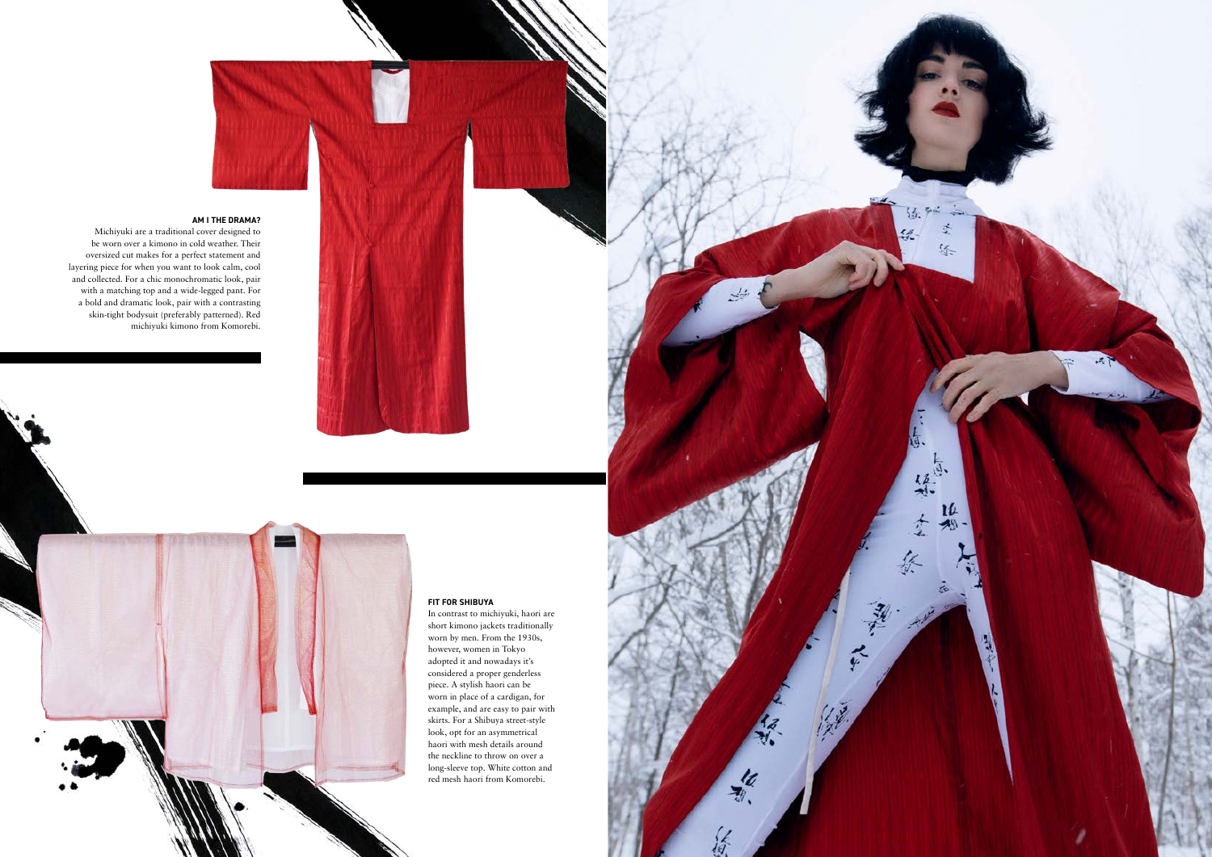

Michiyuki are a traditional cover designed to be worn over a kimono in cold weather. Their oversized cut makes for a perfect statement and layering piece for when you want to look calm, cool and collected. For a chic monochromatic look, pair with a matching top and a wide-legged pant. For a bold and dramatic look, pair with a contrasting skin-tight bodysuit (preferably patterned). Red michiyuki kimono from Komorebi.

## **FIT FOR SHIBUYA**

In contrast to michiyuki, haori are short kimono jackets traditionally worn by men. From the 1930s, however, women in Tokyo adopted it and nowadays it's considered a proper genderless piece. A stylish haori can be worn in place of a cardigan, for example, and are easy to pair with skirts. For a Shibuya street-style look, opt for an asymmetrical haori with mesh details around the neckline to throw on over a long-sleeve top. White cotton and red mesh haori from Komorebi.